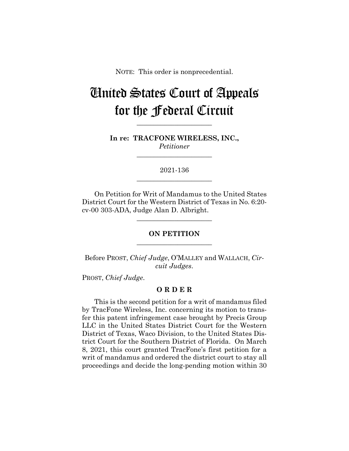NOTE: This order is nonprecedential.

# United States Court of Appeals for the Federal Circuit

**In re: TRACFONE WIRELESS, INC.,** *Petitioner*

**\_\_\_\_\_\_\_\_\_\_\_\_\_\_\_\_\_\_\_\_\_\_**

**\_\_\_\_\_\_\_\_\_\_\_\_\_\_\_\_\_\_\_\_\_\_**

2021-136 **\_\_\_\_\_\_\_\_\_\_\_\_\_\_\_\_\_\_\_\_\_\_**

On Petition for Writ of Mandamus to the United States District Court for the Western District of Texas in No. 6:20 cv-00 303-ADA, Judge Alan D. Albright.

## **ON PETITION \_\_\_\_\_\_\_\_\_\_\_\_\_\_\_\_\_\_\_\_\_\_**

**\_\_\_\_\_\_\_\_\_\_\_\_\_\_\_\_\_\_\_\_\_\_**

Before PROST, *Chief Judge*, O'MALLEY and WALLACH, *Circuit Judges*.

PROST, *Chief Judge*.

## **O R D E R**

This is the second petition for a writ of mandamus filed by TracFone Wireless, Inc. concerning its motion to transfer this patent infringement case brought by Precis Group LLC in the United States District Court for the Western District of Texas, Waco Division, to the United States District Court for the Southern District of Florida. On March 8, 2021, this court granted TracFone's first petition for a writ of mandamus and ordered the district court to stay all proceedings and decide the long-pending motion within 30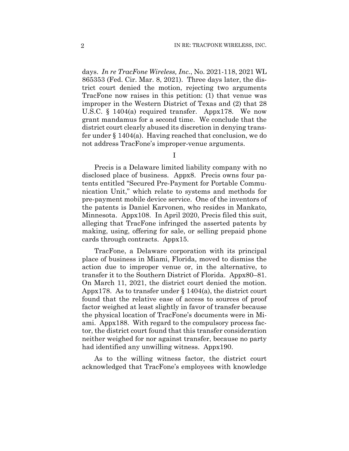days. *In re TracFone Wireless, Inc.*, No. 2021-118, 2021 WL 865353 (Fed. Cir. Mar. 8, 2021). Three days later, the district court denied the motion, rejecting two arguments TracFone now raises in this petition: (1) that venue was improper in the Western District of Texas and (2) that 28 U.S.C. § 1404(a) required transfer. Appx178. We now grant mandamus for a second time. We conclude that the district court clearly abused its discretion in denying transfer under § 1404(a). Having reached that conclusion, we do not address TracFone's improper-venue arguments.

I

Precis is a Delaware limited liability company with no disclosed place of business. Appx8. Precis owns four patents entitled "Secured Pre-Payment for Portable Communication Unit," which relate to systems and methods for pre-payment mobile device service. One of the inventors of the patents is Daniel Karvonen, who resides in Mankato, Minnesota. Appx108. In April 2020, Precis filed this suit, alleging that TracFone infringed the asserted patents by making, using, offering for sale, or selling prepaid phone cards through contracts. Appx15.

TracFone, a Delaware corporation with its principal place of business in Miami, Florida, moved to dismiss the action due to improper venue or, in the alternative, to transfer it to the Southern District of Florida. Appx80–81. On March 11, 2021, the district court denied the motion. Appx178. As to transfer under  $\S 1404(a)$ , the district court found that the relative ease of access to sources of proof factor weighed at least slightly in favor of transfer because the physical location of TracFone's documents were in Miami. Appx188. With regard to the compulsory process factor, the district court found that this transfer consideration neither weighed for nor against transfer, because no party had identified any unwilling witness. Appx190.

As to the willing witness factor, the district court acknowledged that TracFone's employees with knowledge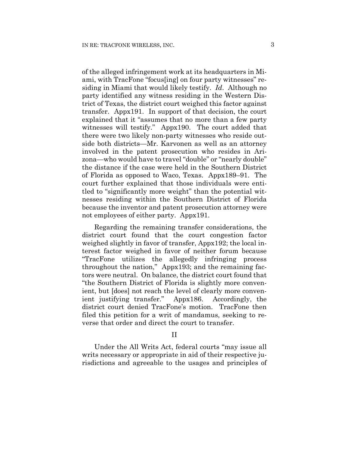of the alleged infringement work at its headquarters in Miami, with TracFone "focus[ing] on four party witnesses" residing in Miami that would likely testify. *Id*. Although no party identified any witness residing in the Western District of Texas, the district court weighed this factor against transfer. Appx191. In support of that decision, the court explained that it "assumes that no more than a few party witnesses will testify." Appx190. The court added that there were two likely non-party witnesses who reside outside both districts—Mr. Karvonen as well as an attorney involved in the patent prosecution who resides in Arizona—who would have to travel "double" or "nearly double" the distance if the case were held in the Southern District of Florida as opposed to Waco, Texas. Appx189–91. The court further explained that those individuals were entitled to "significantly more weight" than the potential witnesses residing within the Southern District of Florida because the inventor and patent prosecution attorney were not employees of either party. Appx191.

Regarding the remaining transfer considerations, the district court found that the court congestion factor weighed slightly in favor of transfer, Appx192; the local interest factor weighed in favor of neither forum because "TracFone utilizes the allegedly infringing process throughout the nation," Appx193; and the remaining factors were neutral. On balance, the district court found that "the Southern District of Florida is slightly more convenient, but [does] not reach the level of clearly more convenient justifying transfer." Appx186. Accordingly, the district court denied TracFone's motion. TracFone then filed this petition for a writ of mandamus, seeking to reverse that order and direct the court to transfer.

### II

Under the All Writs Act, federal courts "may issue all writs necessary or appropriate in aid of their respective jurisdictions and agreeable to the usages and principles of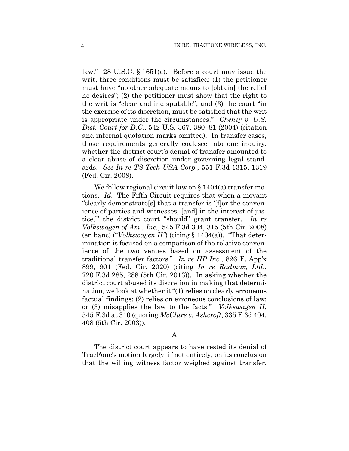law." 28 U.S.C. § 1651(a). Before a court may issue the writ, three conditions must be satisfied: (1) the petitioner must have "no other adequate means to [obtain] the relief he desires"; (2) the petitioner must show that the right to the writ is "clear and indisputable"; and (3) the court "in the exercise of its discretion, must be satisfied that the writ is appropriate under the circumstances." *Cheney v. U.S. Dist. Court for D.C.*, 542 U.S. 367, 380–81 (2004) (citation and internal quotation marks omitted). In transfer cases, those requirements generally coalesce into one inquiry: whether the district court's denial of transfer amounted to a clear abuse of discretion under governing legal standards. *See In re TS Tech USA Corp.*, 551 F.3d 1315, 1319 (Fed. Cir. 2008).

We follow regional circuit law on § 1404(a) transfer motions. *Id*. The Fifth Circuit requires that when a movant "clearly demonstrate[s] that a transfer is '[f]or the convenience of parties and witnesses, [and] in the interest of justice,'" the district court "should" grant transfer. *In re Volkswagen of Am., Inc.*, 545 F.3d 304, 315 (5th Cir. 2008) (en banc) ("*Volkswagen II"*) (citing § 1404(a)). "That determination is focused on a comparison of the relative convenience of the two venues based on assessment of the traditional transfer factors." *In re HP Inc.*, 826 F. App'x 899, 901 (Fed. Cir. 2020) (citing *In re Radmax, Ltd*., 720 F.3d 285, 288 (5th Cir. 2013)). In asking whether the district court abused its discretion in making that determination, we look at whether it "(1) relies on clearly erroneous factual findings; (2) relies on erroneous conclusions of law; or (3) misapplies the law to the facts." *Volkswagen II*, 545 F.3d at 310 (quoting *McClure v. Ashcroft*, 335 F.3d 404, 408 (5th Cir. 2003)).

### A

The district court appears to have rested its denial of TracFone's motion largely, if not entirely, on its conclusion that the willing witness factor weighed against transfer.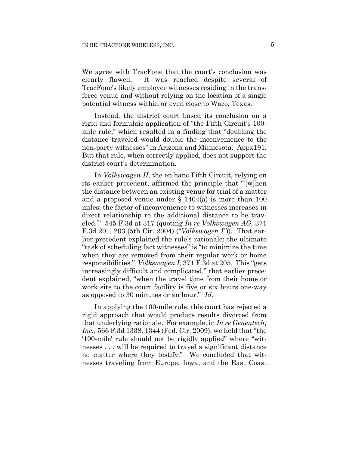We agree with TracFone that the court's conclusion was clearly flawed. It was reached despite several of TracFone's likely employee witnesses residing in the transferee venue and without relying on the location of a single potential witness within or even close to Waco, Texas.

Instead, the district court based its conclusion on a rigid and formulaic application of "the Fifth Circuit's 100 mile rule," which resulted in a finding that "doubling the distance traveled would double the inconvenience to the non-party witnesses" in Arizona and Minnesota. Appx191. But that rule, when correctly applied, does not support the district court's determination.

In *Volkswagen II*, the en banc Fifth Circuit, relying on its earlier precedent, affirmed the principle that "'[w]hen the distance between an existing venue for trial of a matter and a proposed venue under  $\S$  1404(a) is more than 100 miles, the factor of inconvenience to witnesses increases in direct relationship to the additional distance to be traveled.'" 545 F.3d at 317 (quoting *In re Volkswagen AG,* 371 F.3d 201, 203 (5th Cir. 2004) ("*Volkswagen I"*)). That earlier precedent explained the rule's rationale: the ultimate "task of scheduling fact witnesses" is "to minimize the time when they are removed from their regular work or home responsibilities." *Volkswagen I*, 371 F.3d at 205. This "gets increasingly difficult and complicated," that earlier precedent explained, "when the travel time from their home or work site to the court facility is five or six hours one-way as opposed to 30 minutes or an hour." *Id*.

In applying the 100-mile rule, this court has rejected a rigid approach that would produce results divorced from that underlying rationale. For example, in *In re Genentech, Inc.*, 566 F.3d 1338, 1344 (Fed. Cir. 2009), we held that "the '100-mile' rule should not be rigidly applied" where "witnesses . . . will be required to travel a significant distance no matter where they testify." We concluded that witnesses traveling from Europe, Iowa, and the East Coast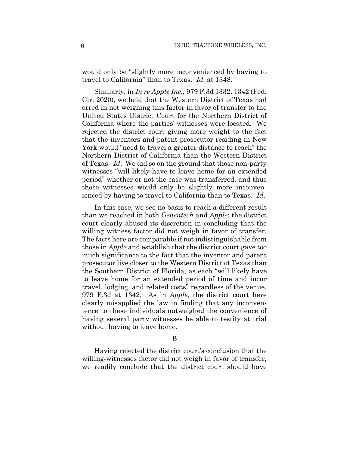would only be "slightly more inconvenienced by having to travel to California" than to Texas. *Id.* at 1348.

Similarly, in *In re Apple Inc.*, 979 F.3d 1332, 1342 (Fed. Cir. 2020), we held that the Western District of Texas had erred in not weighing this factor in favor of transfer to the United States District Court for the Northern District of California where the parties' witnesses were located. We rejected the district court giving more weight to the fact that the inventors and patent prosecutor residing in New York would "need to travel a greater distance to reach" the Northern District of California than the Western District of Texas. *Id*. We did so on the ground that those non-party witnesses "will likely have to leave home for an extended period" whether or not the case was transferred, and thus those witnesses would only be slightly more inconvenienced by having to travel to California than to Texas. *Id*.

In this case, we see no basis to reach a different result than we reached in both *Genentech* and *Apple*: the district court clearly abused its discretion in concluding that the willing witness factor did not weigh in favor of transfer. The facts here are comparable if not indistinguishable from those in *Apple* and establish that the district court gave too much significance to the fact that the inventor and patent prosecutor live closer to the Western District of Texas than the Southern District of Florida, as each "will likely have to leave home for an extended period of time and incur travel, lodging, and related costs" regardless of the venue. 979 F.3d at 1342. As in *Apple*, the district court here clearly misapplied the law in finding that any inconvenience to these individuals outweighed the convenience of having several party witnesses be able to testify at trial without having to leave home.

B

Having rejected the district court's conclusion that the willing-witnesses factor did not weigh in favor of transfer, we readily conclude that the district court should have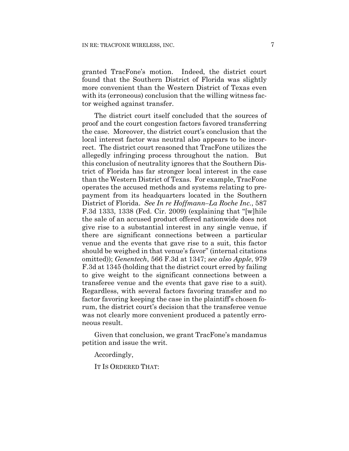granted TracFone's motion. Indeed, the district court found that the Southern District of Florida was slightly more convenient than the Western District of Texas even with its (erroneous) conclusion that the willing witness factor weighed against transfer.

The district court itself concluded that the sources of proof and the court congestion factors favored transferring the case. Moreover, the district court's conclusion that the local interest factor was neutral also appears to be incorrect. The district court reasoned that TracFone utilizes the allegedly infringing process throughout the nation. But this conclusion of neutrality ignores that the Southern District of Florida has far stronger local interest in the case than the Western District of Texas. For example, TracFone operates the accused methods and systems relating to prepayment from its headquarters located in the Southern District of Florida. *See In re Hoffmann–La Roche Inc.*, 587 F.3d 1333, 1338 (Fed. Cir. 2009) (explaining that "[w]hile the sale of an accused product offered nationwide does not give rise to a substantial interest in any single venue, if there are significant connections between a particular venue and the events that gave rise to a suit, this factor should be weighed in that venue's favor" (internal citations omitted)); *Genentech*, 566 F.3d at 1347; *see also Apple*, 979 F.3d at 1345 (holding that the district court erred by failing to give weight to the significant connections between a transferee venue and the events that gave rise to a suit). Regardless, with several factors favoring transfer and no factor favoring keeping the case in the plaintiff's chosen forum, the district court's decision that the transferee venue was not clearly more convenient produced a patently erroneous result.

Given that conclusion, we grant TracFone's mandamus petition and issue the writ.

Accordingly,

IT IS ORDERED THAT: